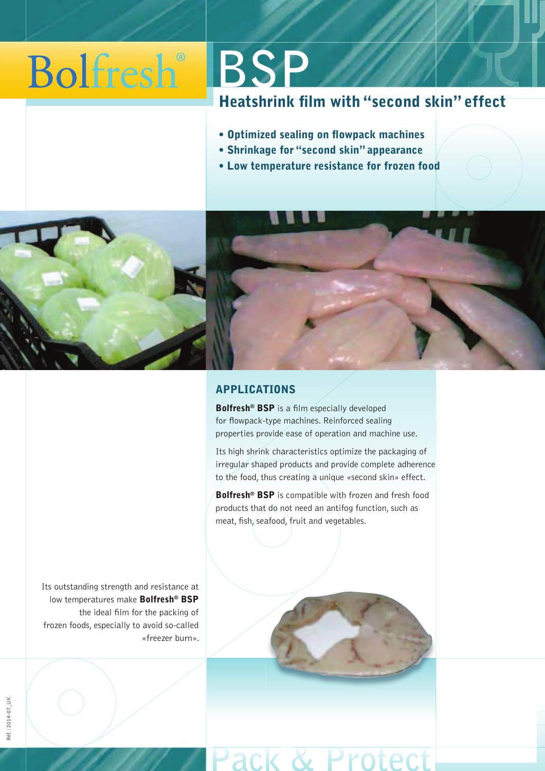## **Bolfresh BSP**

## Heatshrink film with "second skin" effect

- Optimized sealing on flowpack machines
- Shrinkage for "second skin" appearance
- Low temperature resistance for frozen food



### APPLICATIONS

Bolfresh® BSP is a film especially developed for flowpack-type machines. Reinforced sealing properties provide ease of operation and machine use.

Its high shrink characteristics optimize the packaging of irregular shaped products and provide complete adherence to the food, thus creating a unique «second skin» effect.

Bolfresh<sup>®</sup> BSP is compatible with frozen and fresh food products that do not need an antifog function, such as meat, fish, seafood, fruit and vegetables.

Its outstanding strength and resistance at low temperatures make Bolfresh<sup>®</sup> BSP the ideal film for the packing of frozen foods, especially to avoid so-called «freezer burn».